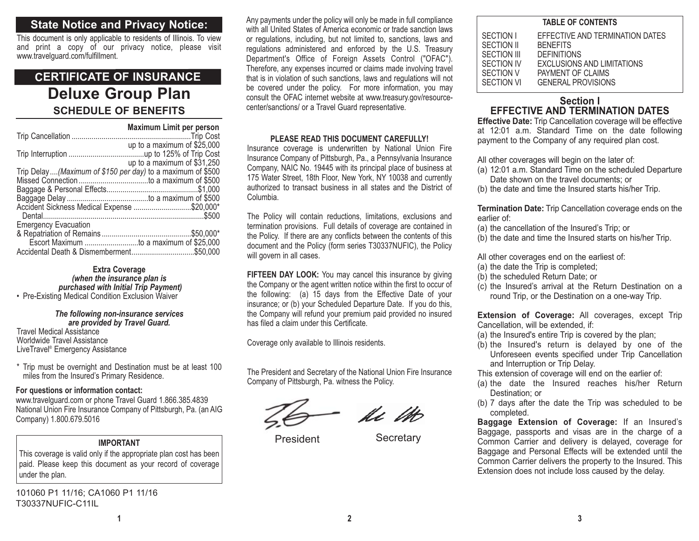## **State Notice and Privacy Notice:**

This document is only applicable to residents of Illinois. To view and print a copy of our privacy notice, please visit www.travelguard.com/fulfillment.

## **Deluxe Group Plan SCHEDULE OF BENEFITSCERTIFICATE OF INSURANCE**

|                                                            | Maximum Limit per person    |
|------------------------------------------------------------|-----------------------------|
|                                                            |                             |
|                                                            | up to a maximum of \$25,000 |
|                                                            |                             |
|                                                            | up to a maximum of \$31,250 |
| Trip Delay(Maximum of \$150 per day) to a maximum of \$500 |                             |
|                                                            |                             |
|                                                            |                             |
|                                                            |                             |
| Accident Sickness Medical Expense \$20,000*                |                             |
|                                                            |                             |
| <b>Emergency Evacuation</b>                                |                             |
|                                                            |                             |
| Escort Maximum to a maximum of \$25,000                    |                             |
|                                                            |                             |

#### **Extra Coverage** *(when the insurance plan is purchased with Initial Trip Payment)*

• Pre-Existing Medical Condition Exclusion Waiver

*The following non-insurance services are provided by Travel Guard.* Travel Medical Assistance

 Worldwide Travel Assistance LiveTravel® Emergency Assistance

\* Trip must be overnight and Destination must be at least 100 miles from the Insured's Primary Residence.

#### **For questions or information contact:**

www.travelguard.com or phone Travel Guard 1.866.385.4839 National Union Fire Insurance Company of Pittsburgh, Pa. (an AIG Company) 1.800.679.5016

## **IMPORTANT**

This coverage is valid only if the appropriate plan cost has been paid. Please keep this document as your record of coverage under the plan.

101060 P1 11/16; CA1060 P1 11/16 T30337NUFIC-C11IL

Any payments under the policy will only be made in full compliance with all United States of America economic or trade sanction lawsor regulations, including, but not limited to, sanctions, laws and regulations administered and enforced by the U.S. Treasury Department's Office of Foreign Assets Control ("OFAC"). Therefore, any expenses incurred or claims made involving travel that is in violation of such sanctions, laws and regulations will not be covered under the policy. For more information, you may consult the OFAC internet website at www.treasury.gov/resourcecenter/sanctions/ or a Travel Guard representative.

#### **PLEASE READ THIS DOCUMENT CAREFULLY!**

Insurance coverage is underwritten by National Union Fire Insurance Company of Pittsburgh, Pa., a Pennsylvania Insurance Company, NAIC No. 19445 with its principal place of business at 175 Water Street, 18th Floor, New York, NY 10038 and currently authorized to transact business in all states and the District ofColumbia.

The Policy will contain reductions, limitations, exclusions and termination provisions. Full details of coverage are contained in the Policy. If there are any conflicts between the contents of this document and the Policy (form series T30337NUFIC), the Policy will govern in all cases.

**FIFTEEN DAY LOOK:** You may cancel this insurance by giving the Company or the agent written notice within the first to occur of the following: (a) 15 days from the Effective Date of your insurance; or (b) your Scheduled Departure Date. If you do this, the Company will refund your premium paid provided no insured has filed a claim under this Certificate.

Coverage only available to Illinois residents.

The President and Secretary of the National Union Fire Insurance Company of Pittsburgh, Pa. witness the Policy.

Ac 1H

President Secretary

| <b>TABLE OF CONTENTS</b>                                                        |                                                                                                                                                                 |  |  |
|---------------------------------------------------------------------------------|-----------------------------------------------------------------------------------------------------------------------------------------------------------------|--|--|
| SECTION I<br>SECTION II<br>SECTION III<br>SECTION IV<br>SECTION V<br>SECTION VI | EFFECTIVE AND TERMINATION DATES<br><b>BENEFITS</b><br><b>DEFINITIONS</b><br><b>EXCLUSIONS AND LIMITATIONS</b><br>PAYMENT OF CLAIMS<br><b>GENERAL PROVISIONS</b> |  |  |
|                                                                                 |                                                                                                                                                                 |  |  |

## **Section IEFFECTIVE AND TERMINATION DATES**

**Effective Date:** Trip Cancellation coverage will be effective at 12:01 a.m. Standard Time on the date following payment to the Company of any required plan cost.

All other coverages will begin on the later of:

- (a) 12:01 a.m. Standard Time on the scheduled Departure Date shown on the travel documents; or
- (b) the date and time the Insured starts his/her Trip.

**Termination Date:** Trip Cancellation coverage ends on the earlier of:

- (a) the cancellation of the Insured's Trip; or
- (b) the date and time the Insured starts on his/her Trip.

All other coverages end on the earliest of:

- (a) the date the Trip is completed;
- (b) the scheduled Return Date; or
- (c) the Insured's arrival at the Return Destination on a round Trip, or the Destination on a one-way Trip.

**Extension of Coverage:** All coverages, except Trip Cancellation, will be extended, if:

- (a) the Insured's entire Trip is covered by the plan;
- (b) the Insured's return is delayed by one of the Unforeseen events specified under Trip Cancellation and Interruption or Trip Delay.

This extension of coverage will end on the earlier of:

- (a) the date the Insured reaches his/her Return Destination; or
- (b) 7 days after the date the Trip was scheduled to be completed.

**Baggage Extension of Coverage:** If an Insured's Baggage, passports and visas are in the charge of a Common Carrier and delivery is delayed, coverage for Baggage and Personal Effects will be extended until the Common Carrier delivers the property to the Insured. This Extension does not include loss caused by the delay.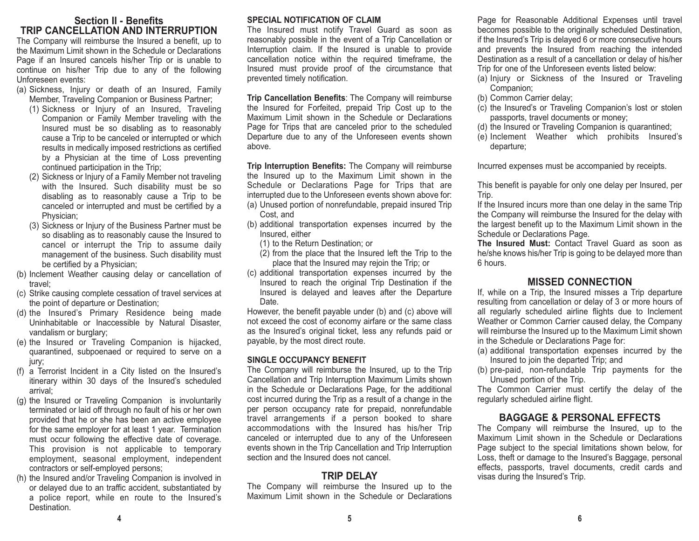## **Section II - BenefitsTRIP CANCELLATION AND INTERRUPTION**

The Company will reimburse the Insured a benefit, up to the Maximum Limit shown in the Schedule or Declarations Page if an Insured cancels his/her Trip or is unable to continue on his/her Trip due to any of the following Unforeseen events:

- (a) Sickness, Injury or death of an Insured, Family Member, Traveling Companion or Business Partner;
	- (1) Sickness or Injury of an Insured, Traveling Companion or Family Member traveling with the Insured must be so disabling as to reasonably cause a Trip to be canceled or interrupted or which results in medically imposed restrictions as certified by a Physician at the time of Loss preventing continued participation in the Trip;
	- (2) Sickness or Injury of a Family Member not traveling with the Insured. Such disability must be so disabling as to reasonably cause a Trip to be canceled or interrupted and must be certified by a Physician;
	- (3) Sickness or Injury of the Business Partner must be so disabling as to reasonably cause the Insured to cancel or interrupt the Trip to assume daily management of the business. Such disability must be certified by a Physician;
- (b) Inclement Weather causing delay or cancellation of travel;
- (c) Strike causing complete cessation of travel services at the point of departure or Destination;
- (d) the Insured's Primary Residence being made Uninhabitable or Inaccessible by Natural Disaster, vandalism or burglary;
- (e) the Insured or Traveling Companion is hijacked, quarantined, subpoenaed or required to serve on a jury:
- (f) a Terrorist Incident in a City listed on the Insured's itinerary within 30 days of the Insured's scheduled arrival;
- (g) the Insured or Traveling Companion is involuntarily terminated or laid off through no fault of his or her own provided that he or she has been an active employee for the same employer for at least 1 year. Termination must occur following the effective date of coverage. This provision is not applicable to temporary employment, seasonal employment, independent contractors or self-employed persons;
- (h) the Insured and/or Traveling Companion is involved in or delayed due to an traffic accident, substantiated by a police report, while en route to the Insured's Destination.

#### **SPECIAL NOTIFICATION OF CLAIM**

The Insured must notify Travel Guard as soon as reasonably possible in the event of a Trip Cancellation or Interruption claim. If the Insured is unable to provide cancellation notice within the required timeframe, the Insured must provide proof of the circumstance that prevented timely notification.

**Trip Cancellation Benefits**: The Company will reimburse the Insured for Forfeited, prepaid Trip Cost up to the Maximum Limit shown in the Schedule or DeclarationsPage for Trips that are canceled prior to the scheduled Departure due to any of the Unforeseen events shown above.

**Trip Interruption Benefits:** The Company will reimburse the Insured up to the Maximum Limit shown in the Schedule or Declarations Page for Trips that are interrupted due to the Unforeseen events shown above for: (a) Unused portion of nonrefundable, prepaid insured Trip

- Cost, and
- (b) additional transportation expenses incurred by the Insured, either
	- (1) to the Return Destination; or
	- (2) from the place that the Insured left the Trip to the place that the Insured may rejoin the Trip; or
- (c) additional transportation expenses incurred by the Insured to reach the original Trip Destination if the Insured is delayed and leaves after the Departure Date.

However, the benefit payable under (b) and (c) above will not exceed the cost of economy airfare or the same class as the Insured's original ticket, less any refunds paid or payable, by the most direct route.

#### **SINGLE OCCUPANCY BENEFIT**

The Company will reimburse the Insured, up to the Trip Cancellation and Trip Interruption Maximum Limits shown in the Schedule or Declarations Page, for the additional cost incurred during the Trip as a result of a change in the per person occupancy rate for prepaid, nonrefundable travel arrangements if a person booked to share accommodations with the Insured has his/her Trip canceled or interrupted due to any of the Unforeseen events shown in the Trip Cancellation and Trip Interruption section and the Insured does not cancel.

## **TRIP DELAY**

The Company will reimburse the Insured up to the Maximum Limit shown in the Schedule or Declarations Page for Reasonable Additional Expenses until travel becomes possible to the originally scheduled Destination, if the Insured's Trip is delayed 6 or more consecutive hours and prevents the Insured from reaching the intended Destination as a result of a cancellation or delay of his/her Trip for one of the Unforeseen events listed below:

- (a) Injury or Sickness of the Insured or Traveling Companion;
- (b) Common Carrier delay;
- (c) the Insured's or Traveling Companion's lost or stolen passports, travel documents or money;
- (d) the Insured or Traveling Companion is quarantined;
- (e) Inclement Weather which prohibits Insured's departure;

Incurred expenses must be accompanied by receipts.

This benefit is payable for only one delay per Insured, per Trip.

If the Insured incurs more than one delay in the same Trip the Company will reimburse the Insured for the delay with the largest benefit up to the Maximum Limit shown in the Schedule or Declarations Page.

**The Insured Must:** Contact Travel Guard as soon ashe/she knows his/her Trip is going to be delayed more than 6 hours.

## **MISSED CONNECTION**

If, while on a Trip, the Insured misses a Trip departure resulting from cancellation or delay of 3 or more hours of all regularly scheduled airline flights due to Inclement Weather or Common Carrier caused delay, the Company will reimburse the Insured up to the Maximum Limit shown in the Schedule or Declarations Page for:

- (a) additional transportation expenses incurred by the Insured to join the departed Trip; and
- (b) pre-paid, non-refundable Trip payments for the Unused portion of the Trip.

The Common Carrier must certify the delay of the regularly scheduled airline flight.

## **BAGGAGE & PERSONAL EFFECTS**

The Company will reimburse the Insured, up to the Maximum Limit shown in the Schedule or Declarations Page subject to the special limitations shown below, for Loss, theft or damage to the Insured's Baggage, personal effects, passports, travel documents, credit cards and visas during the Insured's Trip.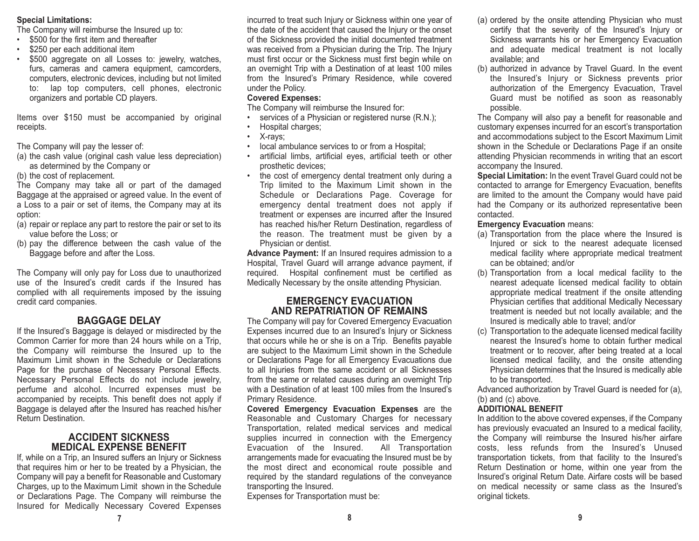#### **Special Limitations:**

The Company will reimburse the Insured up to:

- \$500 for the first item and thereafter
- \$250 per each additional item
- • \$500 aggregate on all Losses to: jewelry, watches, furs, cameras and camera equipment, camcorders, computers, electronic devices, including but not limited to: lap top computers, cell phones, electronic organizers and portable CD players.

Items over \$150 must be accompanied by original receipts.

The Company will pay the lesser of:

- (a) the cash value (original cash value less depreciation) as determined by the Company or
- (b) the cost of replacement.

The Company may take all or part of the damaged Baggage at the appraised or agreed value. In the event of a Loss to a pair or set of items, the Company may at its option:

- (a) repair or replace any part to restore the pair or set to its value before the Loss; or
- (b) pay the difference between the cash value of the Baggage before and after the Loss.

The Company will only pay for Loss due to unauthorized use of the Insured's credit cards if the Insured hascomplied with all requirements imposed by the issuing credit card companies.

## **BAGGAGE DELAY**

If the Insured's Baggage is delayed or misdirected by the Common Carrier for more than 24 hours while on a Trip, the Company will reimburse the Insured up to the Maximum Limit shown in the Schedule or DeclarationsPage for the purchase of Necessary Personal Effects. Necessary Personal Effects do not include jewelry, perfume and alcohol. Incurred expenses must be accompanied by receipts. This benefit does not apply if Baggage is delayed after the Insured has reached his/her Return Destination.

## **ACCIDENT SICKNESSMEDICAL EXPENSE BENEFIT**

If, while on a Trip, an Insured suffers an Injury or Sickness that requires him or her to be treated by a Physician, the Company will pay a benefit for Reasonable and Customary Charges, up to the Maximum Limit shown in the Schedule or Declarations Page. The Company will reimburse the Insured for Medically Necessary Covered Expenses incurred to treat such Injury or Sickness within one year of the date of the accident that caused the Injury or the onset of the Sickness provided the initial documented treatment was received from a Physician during the Trip. The Injury must first occur or the Sickness must first begin while on an overnight Trip with a Destination of at least 100 miles from the Insured's Primary Residence, while covered under the Policy.

## **Covered Expenses:**

The Company will reimburse the Insured for:

- •services of a Physician or registered nurse (R.N.);
- •Hospital charges;
- •X-rays;
- •local ambulance services to or from a Hospital;
- artificial limbs, artificial eyes, artificial teeth or other prosthetic devices;
- • the cost of emergency dental treatment only during a Trip limited to the Maximum Limit shown in the Schedule or Declarations Page. Coverage for emergency dental treatment does not apply if treatment or expenses are incurred after the Insured has reached his/her Return Destination, regardless of the reason. The treatment must be given by a Physician or dentist.

**Advance Payment:** If an Insured requires admission to a Hospital, Travel Guard will arrange advance payment, if required. Hospital confinement must be certified as Medically Necessary by the onsite attending Physician.

## **EMERGENCY EVACUATIONAND REPATRIATION OF REMAINS**

The Company will pay for Covered Emergency Evacuation Expenses incurred due to an Insured's Injury or Sickness that occurs while he or she is on a Trip. Benefits payable are subject to the Maximum Limit shown in the Schedule or Declarations Page for all Emergency Evacuations due to all Injuries from the same accident or all Sicknesses from the same or related causes during an overnight Trip with a Destination of at least 100 miles from the Insured'sPrimary Residence.

**Covered Emergency Evacuation Expenses** are the Reasonable and Customary Charges for necessary Transportation, related medical services and medical supplies incurred in connection with the Emergency Evacuation of the Insured. All Transportation arrangements made for evacuating the Insured must be by the most direct and economical route possible and required by the standard regulations of the conveyance transporting the Insured.

Expenses for Transportation must be:

- (a) ordered by the onsite attending Physician who must certify that the severity of the Insured's Injury or Sickness warrants his or her Emergency Evacuation and adequate medical treatment is not locally available; and
- (b) authorized in advance by Travel Guard. In the event the Insured's Injury or Sickness prevents prior authorization of the Emergency Evacuation, Travel Guard must be notified as soon as reasonably possible.

The Company will also pay a benefit for reasonable and customary expenses incurred for an escort's transportation and accommodations subject to the Escort Maximum Limit shown in the Schedule or Declarations Page if an onsite attending Physician recommends in writing that an escort accompany the Insured.

**Special Limitation:** In the event Travel Guard could not be contacted to arrange for Emergency Evacuation, benefits are limited to the amount the Company would have paid had the Company or its authorized representative been contacted.

## **Emergency Evacuation** means:

- (a) Transportation from the place where the Insured is Injured or sick to the nearest adequate licensed medical facility where appropriate medical treatment can be obtained; and/or
- (b) Transportation from a local medical facility to the nearest adequate licensed medical facility to obtain appropriate medical treatment if the onsite attending Physician certifies that additional Medically Necessary treatment is needed but not locally available; and the Insured is medically able to travel; and/or
- (c) Transportation to the adequate licensed medical facility nearest the Insured's home to obtain further medicaltreatment or to recover, after being treated at a local licensed medical facility, and the onsite attending Physician determines that the Insured is medically able to be transported.

Advanced authorization by Travel Guard is needed for (a), (b) and (c) above.

## **ADDITIONAL BENEFIT**

In addition to the above covered expenses, if the Company has previously evacuated an Insured to a medical facility, the Company will reimburse the Insured his/her airfare costs, less refunds from the Insured's Unused transportation tickets, from that facility to the Insured's Return Destination or home, within one year from the Insured's original Return Date. Airfare costs will be based on medical necessity or same class as the Insured's original tickets.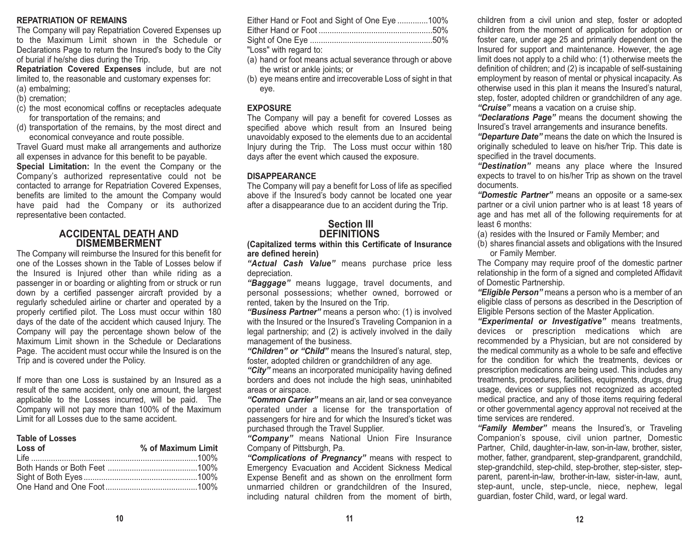#### **REPATRIATION OF REMAINS**

The Company will pay Repatriation Covered Expenses up to the Maximum Limit shown in the Schedule orDeclarations Page to return the Insured's body to the City of burial if he/she dies during the Trip.

**Repatriation Covered Expenses** include, but are not limited to, the reasonable and customary expenses for: (a) embalming;

- (b) cremation;
- (c) the most economical coffins or receptacles adequate for transportation of the remains; and
- (d) transportation of the remains, by the most direct and economical conveyance and route possible.

Travel Guard must make all arrangements and authorize all expenses in advance for this benefit to be payable.

**Special Limitation:** In the event the Company or the Company's authorized representative could not be contacted to arrange for Repatriation Covered Expenses, benefits are limited to the amount the Company would have paid had the Company or its authorized representative been contacted.

#### **ACCIDENTAL DEATH ANDDISMEMBERMENT**

The Company will reimburse the Insured for this benefit for one of the Losses shown in the Table of Losses below ifthe Insured is Injured other than while riding as a passenger in or boarding or alighting from or struck or run down by a certified passenger aircraft provided by a regularly scheduled airline or charter and operated by a properly certified pilot. The Loss must occur within 180 days of the date of the accident which caused Injury. The Company will pay the percentage shown below of the Maximum Limit shown in the Schedule or Declarations Page. The accident must occur while the Insured is on the Trip and is covered under the Policy.

If more than one Loss is sustained by an Insured as a result of the same accident, only one amount, the largest applicable to the Losses incurred, will be paid. The Company will not pay more than 100% of the Maximum Limit for all Losses due to the same accident.

#### **Table of Losses**

| Loss of | % of Maximum Limit |
|---------|--------------------|
|         |                    |
|         |                    |
|         |                    |
|         |                    |

| Either Hand or Foot and Sight of One Eye 100% |  |
|-----------------------------------------------|--|
|                                               |  |
|                                               |  |
|                                               |  |

"Loss" with regard to:

- (a) hand or foot means actual severance through or above the wrist or ankle joints; or
- (b) eye means entire and irrecoverable Loss of sight in that eye.

#### **EXPOSURE**

The Company will pay a benefit for covered Losses as specified above which result from an Insured being unavoidably exposed to the elements due to an accidental Injury during the Trip. The Loss must occur within 180 days after the event which caused the exposure.

#### **DISAPPEARANCE**

The Company will pay a benefit for Loss of life as specified above if the Insured's body cannot be located one year after a disappearance due to an accident during the Trip.

## **Section IIIDEFINITIONS**

**(Capitalized terms within this Certificate of Insurance are defined herein)**

*"Actual Cash Value"* means purchase price less depreciation.

*"Baggage"* means luggage, travel documents, and personal possessions; whether owned, borrowed or rented, taken by the Insured on the Trip.

*"Business Partner"* means a person who: (1) is involved with the Insured or the Insured's Traveling Companion in a legal partnership; and (2) is actively involved in the daily management of the business.

*"Children" or "Child"* means the Insured's natural, step, foster, adopted children or grandchildren of any age.

*"City"* means an incorporated municipality having defined borders and does not include the high seas, uninhabited areas or airspace.

*"Common Carrier"* means an air, land or sea conveyance operated under a license for the transportation of passengers for hire and for which the Insured's ticket was purchased through the Travel Supplier.

*"Company"* means National Union Fire Insurance Company of Pittsburgh, Pa.

*"Complications of Pregnancy"* means with respect to Emergency Evacuation and Accident Sickness Medical Expense Benefit and as shown on the enrollment form unmarried children or grandchildren of the Insured, including natural children from the moment of birth, children from a civil union and step, foster or adopted children from the moment of application for adoption or foster care, under age 25 and primarily dependent on the Insured for support and maintenance. However, the age limit does not apply to a child who: (1) otherwise meets the definition of children; and (2) is incapable of self-sustaining employment by reason of mental or physical incapacity. As otherwise used in this plan it means the Insured's natural, step, foster, adopted children or grandchildren of any age. *"Cruise"* means a vacation on a cruise ship.

*"Declarations Page"* means the document showing the Insured's travel arrangements and insurance benefits.

*"Departure Date"* means the date on which the Insured is originally scheduled to leave on his/her Trip. This date is specified in the travel documents.

*"Destination"* means any place where the Insured expects to travel to on his/her Trip as shown on the travel documents.

*"Domestic Partner"* means an opposite or a same-sex partner or a civil union partner who is at least 18 years of age and has met all of the following requirements for at least 6 months:

- (a) resides with the Insured or Family Member; and
- (b) shares financial assets and obligations with the Insured or Family Member.

The Company may require proof of the domestic partner relationship in the form of a signed and completed Affidavit of Domestic Partnership.

*"Eligible Person"* means a person who is a member of an eligible class of persons as described in the Description of Eligible Persons section of the Master Application.

*"Experimental or Investigative"* means treatments, devices or prescription medications which are recommended by a Physician, but are not considered by the medical community as a whole to be safe and effective for the condition for which the treatments, devices or prescription medications are being used. This includes any treatments, procedures, facilities, equipments, drugs, drug usage, devices or supplies not recognized as accepted medical practice, and any of those items requiring federal or other governmental agency approval not received at the time services are rendered.

*"Family Member"* means the Insured's, or Traveling Companion's spouse, civil union partner, Domestic Partner, Child, daughter-in-law, son-in-law, brother, sister, mother, father, grandparent, step-grandparent, grandchild, step-grandchild, step-child, step-brother, step-sister, stepparent, parent-in-law, brother-in-law, sister-in-law, aunt, step-aunt, uncle, step-uncle, niece, nephew, legal guardian, foster Child, ward, or legal ward.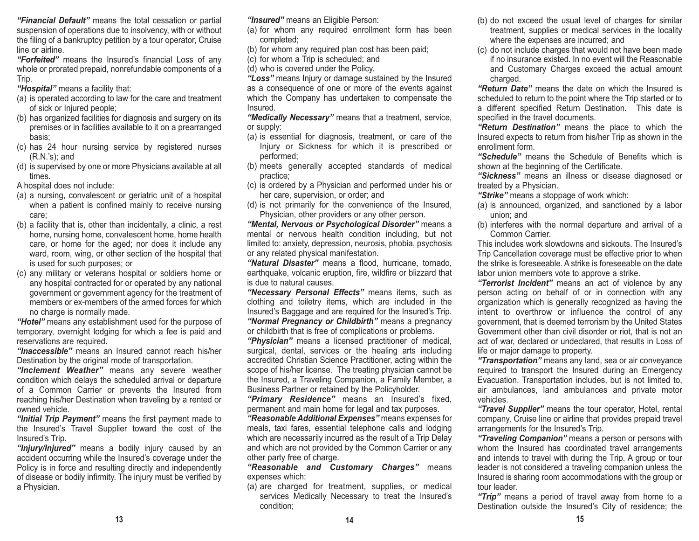*"Financial Default"* means the total cessation or partial suspension of operations due to insolvency, with or without the filing of a bankruptcy petition by a tour operator, Cruise line or airline.

*"Forfeited"* means the Insured's financial Loss of any whole or prorated prepaid, nonrefundable components of a Trip.

*"Hospital"* means a facility that:

- (a) is operated according to law for the care and treatment of sick or Injured people;
- (b) has organized facilities for diagnosis and surgery on its premises or in facilities available to it on a prearranged basis;
- (c) has 24 hour nursing service by registered nurses (R.N.'s); and
- (d) is supervised by one or more Physicians available at all times.

A hospital does not include:

- (a) a nursing, convalescent or geriatric unit of a hospital when a patient is confined mainly to receive nursing care;
- (b) a facility that is, other than incidentally, a clinic, a rest home, nursing home, convalescent home, home health care, or home for the aged; nor does it include any ward, room, wing, or other section of the hospital that is used for such purposes; or
- (c) any military or veterans hospital or soldiers home or any hospital contracted for or operated by any national government or government agency for the treatment of members or ex-members of the armed forces for whichno charge is normally made.

*"Hotel"* means any establishment used for the purpose of temporary, overnight lodging for which a fee is paid and reservations are required.

*"Inaccessible"* means an Insured cannot reach his/her Destination by the original mode of transportation.

*"Inclement Weather"* means any severe weather condition which delays the scheduled arrival or departure of a Common Carrier or prevents the Insured from reaching his/her Destination when traveling by a rented or owned vehicle.

*"Initial Trip Payment"* means the first payment made to the Insured's Travel Supplier toward the cost of the Insured's Trip.

*"Injury/Injured"* means a bodily injury caused by an accident occurring while the Insured's coverage under the Policy is in force and resulting directly and independently of disease or bodily infirmity. The injury must be verified by a Physician.

## *"Insured"* means an Eligible Person:

- (a) for whom any required enrollment form has been completed;
- (b) for whom any required plan cost has been paid;
- (c) for whom a Trip is scheduled; and
- (d) who is covered under the Policy.

*"Loss"* means Injury or damage sustained by the Insured as a consequence of one or more of the events against which the Company has undertaken to compensate the Insured.

*"Medically Necessary"* means that a treatment, service, or supply:

- (a) is essential for diagnosis, treatment, or care of the Injury or Sickness for which it is prescribed or performed;
- (b) meets generally accepted standards of medical practice;
- (c) is ordered by a Physician and performed under his or her care, supervision, or order; and
- (d) is not primarily for the convenience of the Insured, Physician, other providers or any other person.

*"Mental, Nervous or Psychological Disorder"* means a mental or nervous health condition including, but not limited to: anxiety, depression, neurosis, phobia, psychosis or any related physical manifestation.

*"Natural Disaster"* means a flood, hurricane, tornado, earthquake, volcanic eruption, fire, wildfire or blizzard that is due to natural causes.

*"Necessary Personal Effects"* means items, such as clothing and toiletry items, which are included in the Insured's Baggage and are required for the Insured's Trip. *"Normal Pregnancy or Childbirth"* means a pregnancy or childbirth that is free of complications or problems.

*"Physician"* means a licensed practitioner of medical, surgical, dental, services or the healing arts including accredited Christian Science Practitioner, acting within the scope of his/her license. The treating physician cannot be the Insured, a Traveling Companion, a Family Member, a Business Partner or retained by the Policyholder.

*"Primary Residence"* means an Insured's fixed, permanent and main home for legal and tax purposes.

*"Reasonable Additional Expenses"* means expenses for meals, taxi fares, essential telephone calls and lodging which are necessarily incurred as the result of a Trip Delay and which are not provided by the Common Carrier or any other party free of charge.

*"Reasonable and Customary Charges"* means expenses which:

(a) are charged for treatment, supplies, or medical services Medically Necessary to treat the Insured's condition;

- (b) do not exceed the usual level of charges for similar treatment, supplies or medical services in the locality where the expenses are incurred; and
- (c) do not include charges that would not have been made if no insurance existed. In no event will the Reasonableand Customary Charges exceed the actual amount charged.

*"Return Date"* means the date on which the Insured is scheduled to return to the point where the Trip started or to a different specified Return Destination. This date is specified in the travel documents.

*"Return Destination"* means the place to which the Insured expects to return from his/her Trip as shown in the enrollment form.

*"Schedule"* means the Schedule of Benefits which is shown at the beginning of the Certificate.

*"Sickness"* means an illness or disease diagnosed or treated by a Physician.

*"Strike"* means a stoppage of work which:

- (a) is announced, organized, and sanctioned by a labor union; and
- (b) interferes with the normal departure and arrival of a Common Carrier.

This includes work slowdowns and sickouts. The Insured'sTrip Cancellation coverage must be effective prior to when the strike is foreseeable. A strike is foreseeable on the datelabor union members vote to approve a strike.

*"Terrorist Incident"* means an act of violence by any person acting on behalf of or in connection with any organization which is generally recognized as having the intent to overthrow or influence the control of any government, that is deemed terrorism by the United States Government other than civil disorder or riot, that is not an act of war, declared or undeclared, that results in Loss of life or major damage to property.

*"Transportation"* means any land, sea or air conveyance required to transport the Insured during an Emergency Evacuation. Transportation includes, but is not limited to, air ambulances, land ambulances and private motor vehicles.

*"Travel Supplier"* means the tour operator, Hotel, rental company, Cruise line or airline that provides prepaid travel arrangements for the Insured's Trip.

*"Traveling Companion"* means a person or persons with whom the Insured has coordinated travel arrangements and intends to travel with during the Trip. A group or tour leader is not considered a traveling companion unless the Insured is sharing room accommodations with the group or tour leader.

*"Trip"* means a period of travel away from home to a Destination outside the Insured's City of residence; the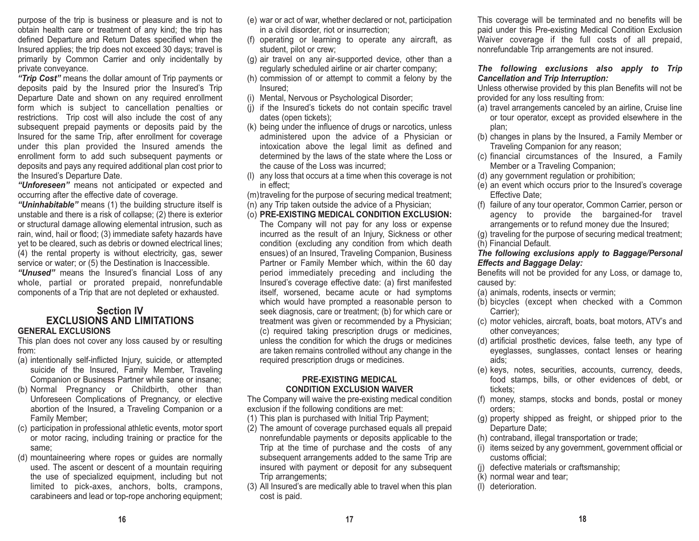purpose of the trip is business or pleasure and is not to obtain health care or treatment of any kind; the trip has defined Departure and Return Dates specified when the Insured applies; the trip does not exceed 30 days; travel is primarily by Common Carrier and only incidentally by private conveyance.

*"Trip Cost"* means the dollar amount of Trip payments or deposits paid by the Insured prior the Insured's Trip Departure Date and shown on any required enrollment form which is subject to cancellation penalties or restrictions. Trip cost will also include the cost of any subsequent prepaid payments or deposits paid by the Insured for the same Trip, after enrollment for coverage under this plan provided the Insured amends the enrollment form to add such subsequent payments or deposits and pays any required additional plan cost prior to the Insured's Departure Date.

*"Unforeseen"* means not anticipated or expected and occurring after the effective date of coverage.

*"Uninhabitable"* means (1) the building structure itself is unstable and there is a risk of collapse; (2) there is exterior or structural damage allowing elemental intrusion, such as rain, wind, hail or flood; (3) immediate safety hazards have yet to be cleared, such as debris or downed electrical lines; (4) the rental property is without electricity, gas, sewer service or water; or (5) the Destination is Inaccessible.

*"Unused"* means the Insured's financial Loss of any whole, partial or prorated prepaid, nonrefundable components of a Trip that are not depleted or exhausted.

#### **Section IV EXCLUSIONS AND LIMITATIONSGENERAL EXCLUSIONS**

This plan does not cover any loss caused by or resulting from:

- (a) intentionally self-inflicted Injury, suicide, or attempted suicide of the Insured, Family Member, Traveling Companion or Business Partner while sane or insane;
- (b) Normal Pregnancy or Childbirth, other than Unforeseen Complications of Pregnancy, or elective abortion of the Insured, a Traveling Companion or a Family Member;
- (c) participation in professional athletic events, motor sport or motor racing, including training or practice for the same;
- (d) mountaineering where ropes or guides are normally used. The ascent or descent of a mountain requiring the use of specialized equipment, including but not limited to pick-axes, anchors, bolts, crampons, carabineers and lead or top-rope anchoring equipment;
- (e) war or act of war, whether declared or not, participation in a civil disorder, riot or insurrection;
- (f) operating or learning to operate any aircraft, as student, pilot or crew;
- (g) air travel on any air-supported device, other than a regularly scheduled airline or air charter company;
- (h) commission of or attempt to commit a felony by the Insured;
- (i) Mental, Nervous or Psychological Disorder;
- (j) if the Insured's tickets do not contain specific travel dates (open tickets);
- (k) being under the influence of drugs or narcotics, unless administered upon the advice of a Physician or intoxication above the legal limit as defined and determined by the laws of the state where the Loss or the cause of the Loss was incurred;
- (l) any loss that occurs at a time when this coverage is not in effect;

(m)traveling for the purpose of securing medical treatment;

- (n) any Trip taken outside the advice of a Physician;
- (o) **PRE-EXISTING MEDICAL CONDITION EXCLUSION:** The Company will not pay for any loss or expense incurred as the result of an Injury, Sickness or other condition (excluding any condition from which death ensues) of an Insured, Traveling Companion, Business Partner or Family Member which, within the 60 day period immediately preceding and including the Insured's coverage effective date: (a) first manifested itself, worsened, became acute or had symptoms which would have prompted a reasonable person to seek diagnosis, care or treatment; (b) for which care or treatment was given or recommended by a Physician; (c) required taking prescription drugs or medicines, unless the condition for which the drugs or medicines are taken remains controlled without any change in the required prescription drugs or medicines.

#### **PRE-EXISTING MEDICAL CONDITION EXCLUSION WAIVER**

The Company will waive the pre-existing medical condition exclusion if the following conditions are met:

- (1) This plan is purchased with Initial Trip Payment;
- (2) The amount of coverage purchased equals all prepaid nonrefundable payments or deposits applicable to the Trip at the time of purchase and the costs of any subsequent arrangements added to the same Trip are insured with payment or deposit for any subsequent Trip arrangements;
- (3) All Insured's are medically able to travel when this plan cost is paid.

This coverage will be terminated and no benefits will be paid under this Pre-existing Medical Condition Exclusion Waiver coverage if the full costs of all prepaid, nonrefundable Trip arrangements are not insured.

#### *The following exclusions also apply to Trip Cancellation and Trip Interruption:*

Unless otherwise provided by this plan Benefits will not be provided for any loss resulting from:

- (a) travel arrangements canceled by an airline, Cruise line or tour operator, except as provided elsewhere in the plan;
- (b) changes in plans by the Insured, a Family Member or Traveling Companion for any reason;
- (c) financial circumstances of the Insured, a Family Member or a Traveling Companion;
- (d) any government regulation or prohibition;
- (e) an event which occurs prior to the Insured's coverage Effective Date;
- (f) failure of any tour operator, Common Carrier, person or agency to provide the bargained-for travel arrangements or to refund money due the Insured;
- (g) traveling for the purpose of securing medical treatment; (h) Financial Default.
- 

#### *The following exclusions apply to Baggage/Personal Effects and Baggage Delay:*

Benefits will not be provided for any Loss, or damage to, caused by:

- (a) animals, rodents, insects or vermin;
- (b) bicycles (except when checked with a Common Carrier);
- (c) motor vehicles, aircraft, boats, boat motors, ATV's and other conveyances;
- (d) artificial prosthetic devices, false teeth, any type of eyeglasses, sunglasses, contact lenses or hearing aids;
- (e) keys, notes, securities, accounts, currency, deeds, food stamps, bills, or other evidences of debt, or tickets;
- (f) money, stamps, stocks and bonds, postal or money orders;
- (g) property shipped as freight, or shipped prior to the Departure Date;
- (h) contraband, illegal transportation or trade;
- (i) items seized by any government, government official or customs official;
- (j) defective materials or craftsmanship;
- (k) normal wear and tear;
- (l) deterioration.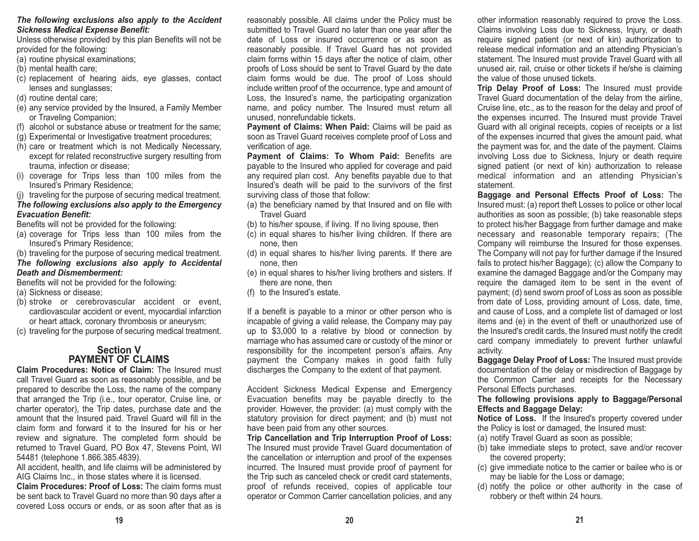#### *The following exclusions also apply to the Accident Sickness Medical Expense Benefit:*

Unless otherwise provided by this plan Benefits will not be provided for the following:

- (a) routine physical examinations;
- (b) mental health care;
- (c) replacement of hearing aids, eye glasses, contact lenses and sunglasses;
- (d) routine dental care;
- (e) any service provided by the Insured, a Family Member or Traveling Companion;
- (f) alcohol or substance abuse or treatment for the same;
- (g) Experimental or Investigative treatment procedures;
- (h) care or treatment which is not Medically Necessary, except for related reconstructive surgery resulting from trauma, infection or disease;
- (i) coverage for Trips less than 100 miles from the Insured's Primary Residence;
- (j) traveling for the purpose of securing medical treatment.

## *The following exclusions also apply to the Emergency Evacuation Benefit:*

Benefits will not be provided for the following:

- (a) coverage for Trips less than 100 miles from the Insured's Primary Residence;
- (b) traveling for the purpose of securing medical treatment. *The following exclusions also apply to Accidental Death and Dismemberment:*

Benefits will not be provided for the following:

- (a) Sickness or disease;
- (b) stroke or cerebrovascular accident or event, cardiovascular accident or event, myocardial infarction or heart attack, coronary thrombosis or aneurysm;
- (c) traveling for the purpose of securing medical treatment.

## **Section VPAYMENT OF CLAIMS**

**Claim Procedures: Notice of Claim:** The Insured must call Travel Guard as soon as reasonably possible, and be prepared to describe the Loss, the name of the company that arranged the Trip (i.e., tour operator, Cruise line, or charter operator), the Trip dates, purchase date and the amount that the Insured paid. Travel Guard will fill in the claim form and forward it to the Insured for his or her review and signature. The completed form should be returned to Travel Guard, PO Box 47, Stevens Point, WI 54481 (telephone 1.866.385.4839).

All accident, health, and life claims will be administered by AIG Claims Inc., in those states where it is licensed.

**Claim Procedures: Proof of Loss:** The claim forms must be sent back to Travel Guard no more than 90 days after a covered Loss occurs or ends, or as soon after that as is reasonably possible. All claims under the Policy must be submitted to Travel Guard no later than one year after the date of Loss or insured occurrence or as soon asreasonably possible. If Travel Guard has not provided claim forms within 15 days after the notice of claim, other proofs of Loss should be sent to Travel Guard by the date claim forms would be due. The proof of Loss should include written proof of the occurrence, type and amount of Loss, the Insured's name, the participating organization name, and policy number. The Insured must return all unused, nonrefundable tickets.

**Payment of Claims: When Paid:** Claims will be paid as soon as Travel Guard receives complete proof of Loss and verification of age.

**Payment of Claims: To Whom Paid:** Benefits are payable to the Insured who applied for coverage and paid any required plan cost. Any benefits payable due to that Insured's death will be paid to the survivors of the first surviving class of those that follow:

- (a) the beneficiary named by that Insured and on file with Travel Guard
- (b) to his/her spouse, if living. If no living spouse, then
- (c) in equal shares to his/her living children. If there are none, then
- (d) in equal shares to his/her living parents. If there are none, then
- (e) in equal shares to his/her living brothers and sisters. If there are none, then
- (f) to the Insured's estate.

If a benefit is payable to a minor or other person who is incapable of giving a valid release, the Company may pay up to \$3,000 to a relative by blood or connection by marriage who has assumed care or custody of the minor or responsibility for the incompetent person's affairs. Any payment the Company makes in good faith fully discharges the Company to the extent of that payment.

Accident Sickness Medical Expense and Emergency Evacuation benefits may be payable directly to the provider. However, the provider: (a) must comply with the statutory provision for direct payment; and (b) must not have been paid from any other sources.

**Trip Cancellation and Trip Interruption Proof of Loss:** The Insured must provide Travel Guard documentation of the cancellation or interruption and proof of the expenses incurred. The Insured must provide proof of payment for the Trip such as canceled check or credit card statements, proof of refunds received, copies of applicable tour operator or Common Carrier cancellation policies, and any

other information reasonably required to prove the Loss. Claims involving Loss due to Sickness, Injury, or death require signed patient (or next of kin) authorization to release medical information and an attending Physician's statement. The Insured must provide Travel Guard with all unused air, rail, cruise or other tickets if he/she is claiming the value of those unused tickets.

**Trip Delay Proof of Loss:** The Insured must provide Travel Guard documentation of the delay from the airline, Cruise line, etc., as to the reason for the delay and proof of the expenses incurred. The Insured must provide Travel Guard with all original receipts, copies of receipts or a list of the expenses incurred that gives the amount paid, what the payment was for, and the date of the payment. Claims involving Loss due to Sickness, Injury or death require signed patient (or next of kin) authorization to release medical information and an attending Physician's statement.

**Baggage and Personal Effects Proof of Loss:** The Insured must: (a) report theft Losses to police or other local authorities as soon as possible; (b) take reasonable steps to protect his/her Baggage from further damage and make necessary and reasonable temporary repairs; (The Company will reimburse the Insured for those expenses. The Company will not pay for further damage if the Insured fails to protect his/her Baggage); (c) allow the Company to examine the damaged Baggage and/or the Company may require the damaged item to be sent in the event of payment; (d) send sworn proof of Loss as soon as possible from date of Loss, providing amount of Loss, date, time, and cause of Loss, and a complete list of damaged or lost items and (e) in the event of theft or unauthorized use of the Insured's credit cards, the Insured must notify the credit card company immediately to prevent further unlawful activity.

**Baggage Delay Proof of Loss:** The Insured must provide documentation of the delay or misdirection of Baggage by the Common Carrier and receipts for the Necessary Personal Effects purchases.

#### **The following provisions apply to Baggage/Personal Effects and Baggage Delay:**

**Notice of Loss.** If the Insured's property covered under the Policy is lost or damaged, the Insured must:

- (a) notify Travel Guard as soon as possible;
- (b) take immediate steps to protect, save and/or recover the covered property;
- (c) give immediate notice to the carrier or bailee who is or may be liable for the Loss or damage;
- (d) notify the police or other authority in the case of robbery or theft within 24 hours.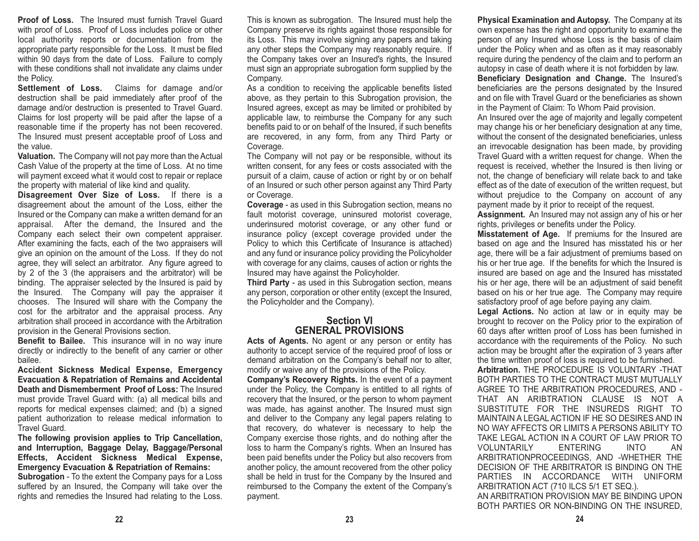**Proof of Loss.** The Insured must furnish Travel Guard with proof of Loss. Proof of Loss includes police or other local authority reports or documentation from the appropriate party responsible for the Loss. It must be filed within 90 days from the date of Loss. Failure to comply with these conditions shall not invalidate any claims under the Policy.

**Settlement of Loss.** Claims for damage and/or destruction shall be paid immediately after proof of the damage and/or destruction is presented to Travel Guard. Claims for lost property will be paid after the lapse of a reasonable time if the property has not been recovered. The Insured must present acceptable proof of Loss and the value.

**Valuation.** The Company will not pay more than the Actual Cash Value of the property at the time of Loss. At no time will payment exceed what it would cost to repair or replace the property with material of like kind and quality.

**Disagreement Over Size of Loss.** If there is a disagreement about the amount of the Loss, either the Insured or the Company can make a written demand for an appraisal. After the demand, the Insured and the Company each select their own competent appraiser. After examining the facts, each of the two appraisers will give an opinion on the amount of the Loss. If they do not agree, they will select an arbitrator. Any figure agreed to by 2 of the 3 (the appraisers and the arbitrator) will be binding. The appraiser selected by the Insured is paid by the Insured. The Company will pay the appraiser it chooses. The Insured will share with the Company the cost for the arbitrator and the appraisal process. Any arbitration shall proceed in accordance with the Arbitration provision in the General Provisions section.

**Benefit to Bailee.** This insurance will in no way inure directly or indirectly to the benefit of any carrier or other bailee.

**Accident Sickness Medical Expense, Emergency Evacuation & Repatriation of Remains and Accidental Death and Dismemberment Proof of Loss:** The Insuredmust provide Travel Guard with: (a) all medical bills and reports for medical expenses claimed; and (b) a signed patient authorization to release medical information to Travel Guard.

**The following provision applies to Trip Cancellation, and Interruption, Baggage Delay, Baggage/Personal Effects, Accident Sickness Medical Expense, Emergency Evacuation & Repatriation of Remains:**

**Subrogation** - To the extent the Company pays for a Loss suffered by an Insured, the Company will take over the rights and remedies the Insured had relating to the Loss.

This is known as subrogation. The Insured must help the Company preserve its rights against those responsible for its Loss. This may involve signing any papers and taking any other steps the Company may reasonably require. If the Company takes over an Insured's rights, the Insured must sign an appropriate subrogation form supplied by the Company.

As a condition to receiving the applicable benefits listed above, as they pertain to this Subrogation provision, the Insured agrees, except as may be limited or prohibited by applicable law, to reimburse the Company for any such benefits paid to or on behalf of the Insured, if such benefits are recovered, in any form, from any Third Party or Coverage.

The Company will not pay or be responsible, without its written consent, for any fees or costs associated with the pursuit of a claim, cause of action or right by or on behalf of an Insured or such other person against any Third Party or Coverage.

**Coverage** - as used in this Subrogation section, means no fault motorist coverage, uninsured motorist coverage, underinsured motorist coverage, or any other fund or insurance policy (except coverage provided under the Policy to which this Certificate of Insurance is attached) and any fund or insurance policy providing the Policyholder with coverage for any claims, causes of action or rights the Insured may have against the Policyholder.

**Third Party** - as used in this Subrogation section, means any person, corporation or other entity (except the Insured, the Policyholder and the Company).

#### **Section VIGENERAL PROVISIONS**

**Acts of Agents.** No agent or any person or entity has authority to accept service of the required proof of loss or demand arbitration on the Company's behalf nor to alter, modify or waive any of the provisions of the Policy.

**Company's Recovery Rights.** In the event of a payment under the Policy, the Company is entitled to all rights of recovery that the Insured, or the person to whom payment was made, has against another. The Insured must sign and deliver to the Company any legal papers relating to that recovery, do whatever is necessary to help the Company exercise those rights, and do nothing after the loss to harm the Company's rights. When an Insured has been paid benefits under the Policy but also recovers from another policy, the amount recovered from the other policy shall be held in trust for the Company by the Insured and reimbursed to the Company the extent of the Company's payment.

**Physical Examination and Autopsy.** The Company at its own expense has the right and opportunity to examine the person of any Insured whose Loss is the basis of claim under the Policy when and as often as it may reasonably require during the pendency of the claim and to perform an autopsy in case of death where it is not forbidden by law. **Beneficiary Designation and Change.** The Insured's beneficiaries are the persons designated by the Insured and on file with Travel Guard or the beneficiaries as shownin the Payment of Claim: To Whom Paid provision.

An Insured over the age of majority and legally competent may change his or her beneficiary designation at any time, without the consent of the designated beneficiaries, unless an irrevocable designation has been made, by providing Travel Guard with a written request for change. When the request is received, whether the Insured is then living or not, the change of beneficiary will relate back to and take effect as of the date of execution of the written request, but without prejudice to the Company on account of any payment made by it prior to receipt of the request.

**Assignment.** An Insured may not assign any of his or her rights, privileges or benefits under the Policy.

**Misstatement of Age.** If premiums for the Insured are based on age and the Insured has misstated his or her age, there will be a fair adjustment of premiums based on his or her true age. If the benefits for which the Insured is insured are based on age and the Insured has misstated his or her age, there will be an adjustment of said benefit based on his or her true age. The Company may require satisfactory proof of age before paying any claim.

**Legal Actions.** No action at law or in equity may be brought to recover on the Policy prior to the expiration of 60 days after written proof of Loss has been furnished in accordance with the requirements of the Policy. No such action may be brought after the expiration of 3 years after the time written proof of loss is required to be furnished.

**Arbitration.** THE PROCEDURE IS VOLUNTARY -THATBOTH PARTIES TO THE CONTRACT MUST MUTUALLYAGREE TO THE ARBITRATION PROCEDURES, AND - THAT AN ARIBTRATION CLAUSE IS NOT ASUBSTITUTE FOR THE INSUREDS RIGHT TOMAINTAIN A LEGAL ACTION IF HE SO DESIRES AND INNO WAY AFFECTS OR LIMITS A PERSONS ABILITY TOTAKE LEGAL ACTION IN A COURT OF LAW PRIOR TOVOLUNTARILY ENTERING INTO ANARBITRATIONPROCEEDINGS, AND -WHETHER THE DECISION OF THE ARBITRATOR IS BINDING ON THEPARTIES IN ACCORDANCE WITH UNIFORMARBITRATION ACT (710 ILCS 5/1 ET SEQ.). AN ARBITRATION PROVISION MAY BE BINDING UPON